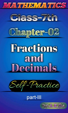



## part-III

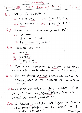Mathematics'

"class-VII" Selt-Practice' ch: 02' III rel part

Q. 1. Which is greater? (i)  $0.7000007$  (iii)  $0.800005$ (ii) 7 08 0.7 (iv) 1.38 08 1.49.

U.2. Express as rupees using decimal: (i) 9 paise dis 8 rupees 7 paise. (iii) 88 oupres 77 paise.

Q.3. Express in Kg:

- $1009$
- Cii) 24909

(iii) 9 kg 89.

8.4. An inch contains 2.54 cm. How many centimetres will there be in 25 inches.

Q. 5. The thickness of 50 sheets of paper is 15 cm. What is the thickness of each sheet  $im$   $cm$ ?

Q.6. A piece ob wire is 20.5 m long. It it is cut into 25 equal bieces, find the length of each biece in cm.

Q.7. A bucket can hold 15.5 litres of water. How much water can be stood in 18 Such buckets.?.  $\overrightarrow{P}$ .  $\overrightarrow{0}$